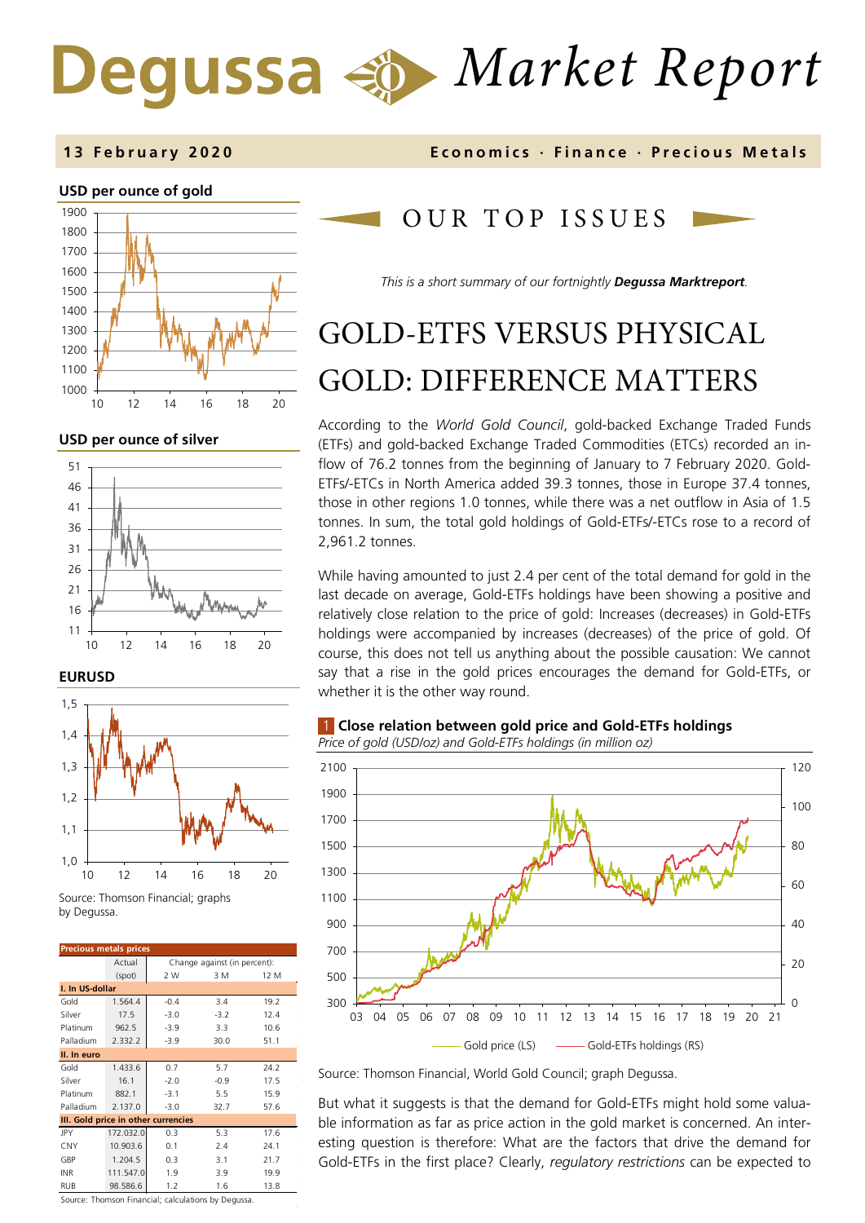# *Market Report*



**USD per ounce of silver** 



**EURUSD**



Source: Thomson Financial; graphs by Degussa.

| <b>Precious metals prices</b>       |           |                              |        |      |  |  |  |  |
|-------------------------------------|-----------|------------------------------|--------|------|--|--|--|--|
|                                     | Actual    | Change against (in percent): |        |      |  |  |  |  |
|                                     | (spot)    | 2 W                          | 3 M    | 12 M |  |  |  |  |
| I. In US-dollar                     |           |                              |        |      |  |  |  |  |
| Gold                                | 1.564.4   | $-0.4$                       | 3.4    | 19.2 |  |  |  |  |
| Silver                              | 17.5      | $-3.0$                       | $-3.2$ | 12.4 |  |  |  |  |
| Platinum                            | 962.5     | $-3.9$                       | 3.3    | 10.6 |  |  |  |  |
| Palladium                           | 2.332.2   | $-3.9$                       | 30.0   | 51.1 |  |  |  |  |
| II. In euro                         |           |                              |        |      |  |  |  |  |
| Gold                                | 1.433.6   | 0.7                          | 5.7    | 24.2 |  |  |  |  |
| Silver                              | 16.1      | $-2.0$                       | $-0.9$ | 17.5 |  |  |  |  |
| Platinum                            | 882.1     | $-3.1$                       | 5.5    | 15.9 |  |  |  |  |
| Palladium                           | 2.137.0   | $-3.0$                       | 32.7   | 57.6 |  |  |  |  |
| III. Gold price in other currencies |           |                              |        |      |  |  |  |  |
| JPY                                 | 172.032.0 | 0.3                          | 5.3    | 17.6 |  |  |  |  |
| CNY                                 | 10.903.6  | 0.1                          | 7.4    | 24.1 |  |  |  |  |
| GBP                                 | 1.204.5   | 0.3                          | 3.1    | 21.7 |  |  |  |  |
| <b>INR</b>                          | 111.547.0 | 1.9                          | 3.9    | 19.9 |  |  |  |  |
| <b>RUB</b>                          | 98.586.6  | 1.2                          | 1.6    | 13.8 |  |  |  |  |

**13 February 2020 Economics · Finance · Precious M etals**

## OUR TOP ISSUE S

*This is a short summary of our fortnightly Degussa Marktreport.*

## GOLD-ETFS VERSUS PHYSICAL GOLD: DIFFERENCE MATTERS

According to the *World Gold Council*, gold-backed Exchange Traded Funds (ETFs) and gold-backed Exchange Traded Commodities (ETCs) recorded an inflow of 76.2 tonnes from the beginning of January to 7 February 2020. Gold-ETFs/-ETCs in North America added 39.3 tonnes, those in Europe 37.4 tonnes, those in other regions 1.0 tonnes, while there was a net outflow in Asia of 1.5 tonnes. In sum, the total gold holdings of Gold-ETFs/-ETCs rose to a record of 2,961.2 tonnes.

While having amounted to just 2.4 per cent of the total demand for gold in the last decade on average, Gold-ETFs holdings have been showing a positive and relatively close relation to the price of gold: Increases (decreases) in Gold-ETFs holdings were accompanied by increases (decreases) of the price of gold. Of course, this does not tell us anything about the possible causation: We cannot say that a rise in the gold prices encourages the demand for Gold-ETFs, or whether it is the other way round.

## 1 **Close relation between gold price and Gold-ETFs holdings**

*Price of gold (USD/oz) and Gold-ETFs holdings (in million oz)* 



Source: Thomson Financial, World Gold Council; graph Degussa.

But what it suggests is that the demand for Gold-ETFs might hold some valuable information as far as price action in the gold market is concerned. An interesting question is therefore: What are the factors that drive the demand for Gold-ETFs in the first place? Clearly, *regulatory restrictions* can be expected to

Source: Thomson Financial; calculations by Degussa.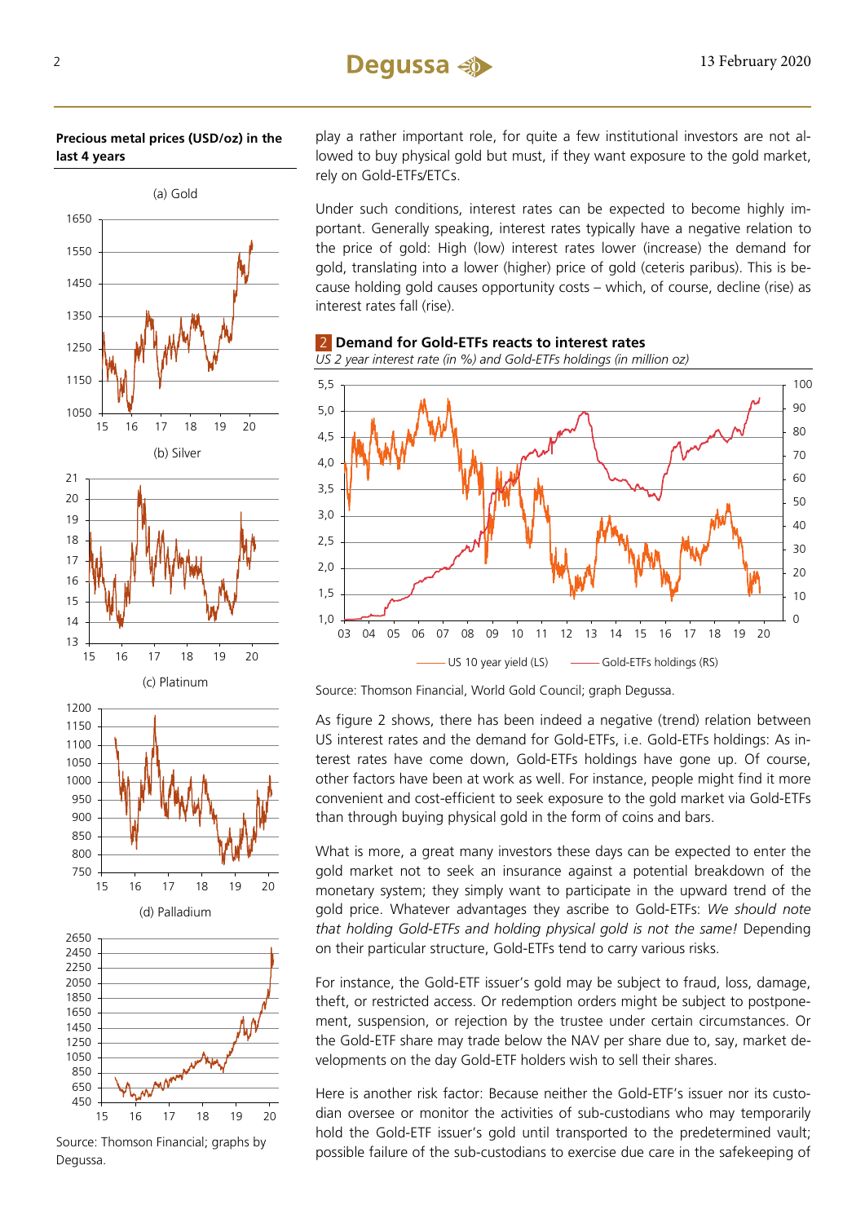## **Precious metal prices (USD/oz) in the last 4 years**



play a rather important role, for quite a few institutional investors are not allowed to buy physical gold but must, if they want exposure to the gold market, rely on Gold-ETFs/ETCs.

Under such conditions, interest rates can be expected to become highly important. Generally speaking, interest rates typically have a negative relation to the price of gold: High (low) interest rates lower (increase) the demand for gold, translating into a lower (higher) price of gold (ceteris paribus). This is because holding gold causes opportunity costs – which, of course, decline (rise) as interest rates fall (rise).



2 **Demand for Gold-ETFs reacts to interest rates**

Source: Thomson Financial, World Gold Council; graph Degussa.

As figure 2 shows, there has been indeed a negative (trend) relation between US interest rates and the demand for Gold-ETFs, i.e. Gold-ETFs holdings: As interest rates have come down, Gold-ETFs holdings have gone up. Of course, other factors have been at work as well. For instance, people might find it more convenient and cost-efficient to seek exposure to the gold market via Gold-ETFs than through buying physical gold in the form of coins and bars.

What is more, a great many investors these days can be expected to enter the gold market not to seek an insurance against a potential breakdown of the monetary system; they simply want to participate in the upward trend of the gold price. Whatever advantages they ascribe to Gold-ETFs: *We should note that holding Gold-ETFs and holding physical gold is not the same!* Depending on their particular structure, Gold-ETFs tend to carry various risks.

For instance, the Gold-ETF issuer's gold may be subject to fraud, loss, damage, theft, or restricted access. Or redemption orders might be subject to postponement, suspension, or rejection by the trustee under certain circumstances. Or the Gold-ETF share may trade below the NAV per share due to, say, market developments on the day Gold-ETF holders wish to sell their shares.

Here is another risk factor: Because neither the Gold-ETF's issuer nor its custodian oversee or monitor the activities of sub-custodians who may temporarily hold the Gold-ETF issuer's gold until transported to the predetermined vault; possible failure of the sub-custodians to exercise due care in the safekeeping of

Source: Thomson Financial; graphs by Degussa.

15 16 17 18 19 20

450 650 850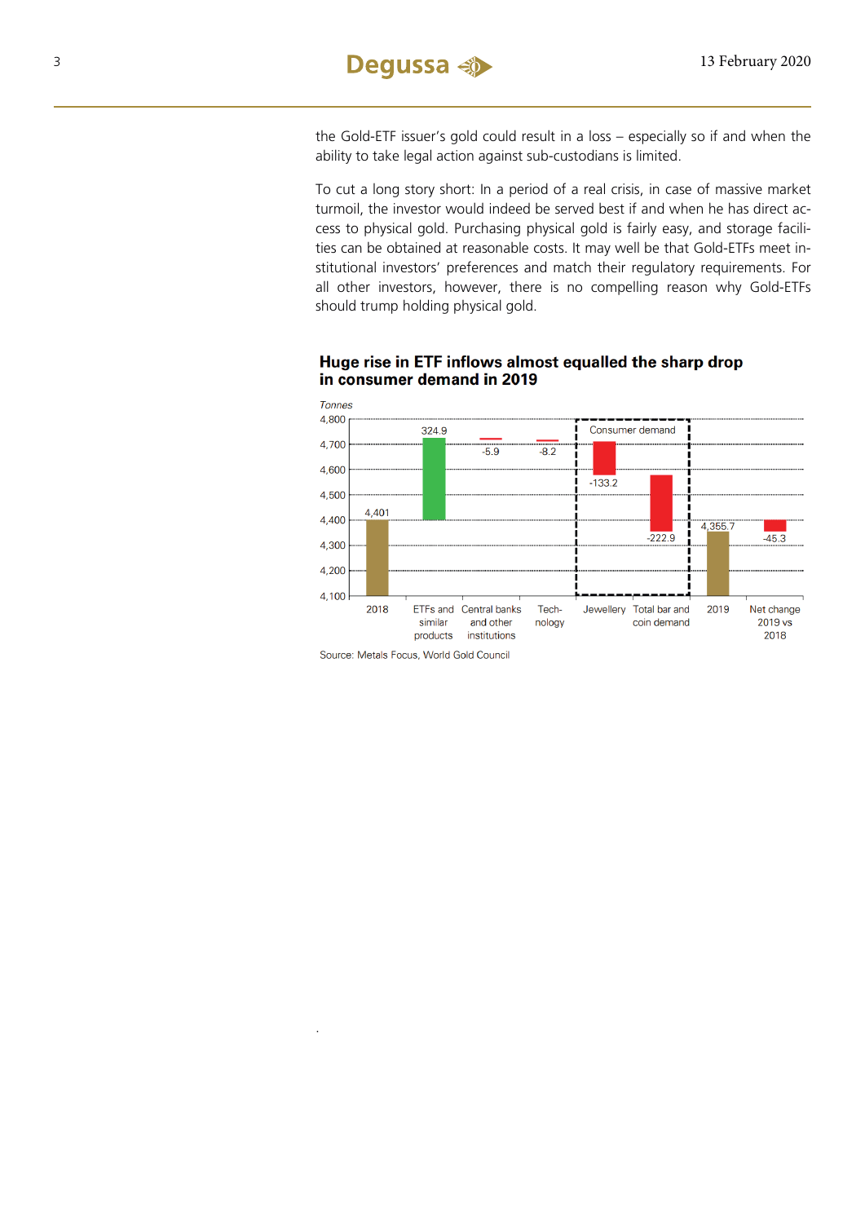the Gold-ETF issuer's gold could result in a loss – especially so if and when the ability to take legal action against sub-custodians is limited.

To cut a long story short: In a period of a real crisis, in case of massive market turmoil, the investor would indeed be served best if and when he has direct access to physical gold. Purchasing physical gold is fairly easy, and storage facilities can be obtained at reasonable costs. It may well be that Gold-ETFs meet institutional investors' preferences and match their regulatory requirements. For all other investors, however, there is no compelling reason why Gold-ETFs should trump holding physical gold.



## Huge rise in ETF inflows almost equalled the sharp drop in consumer demand in 2019

Source: Metals Focus, World Gold Council

.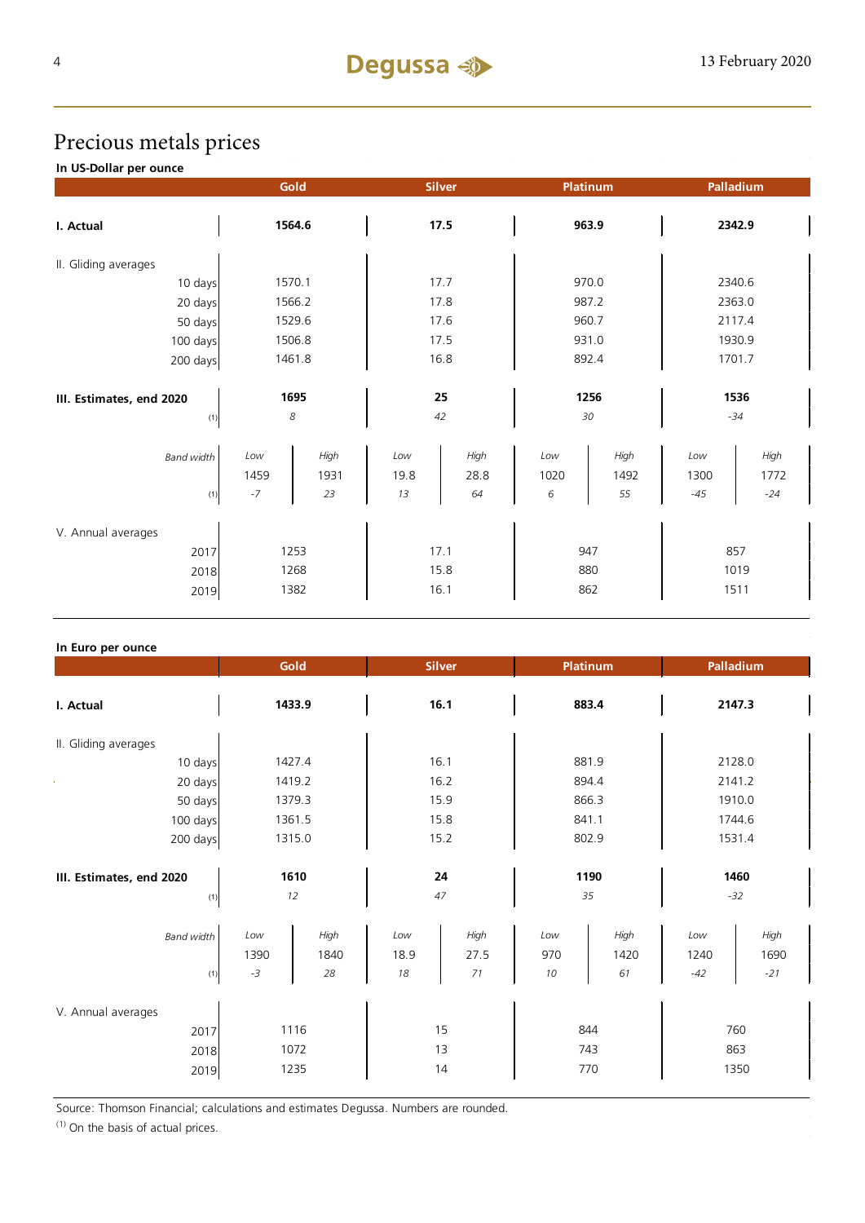## Precious metals prices

**In US-Dollar per ounce**

|                                    | Gold         |              | <b>Silver</b> |              |             | <b>Platinum</b> | Palladium   |              |  |
|------------------------------------|--------------|--------------|---------------|--------------|-------------|-----------------|-------------|--------------|--|
| I. Actual                          |              | 1564.6       | 17.5          |              | 963.9       |                 | 2342.9      |              |  |
| II. Gliding averages               |              |              |               |              |             |                 |             |              |  |
| 10 days                            | 1570.1       |              | 17.7          |              | 970.0       |                 | 2340.6      |              |  |
| 20 days                            | 1566.2       |              | 17.8          |              | 987.2       |                 | 2363.0      |              |  |
| 50 days                            | 1529.6       |              | 17.6          |              |             | 960.7           |             | 2117.4       |  |
| 100 days                           | 1506.8       |              |               | 17.5         |             | 931.0           |             | 1930.9       |  |
| 200 days                           | 1461.8       |              | 16.8          |              | 892.4       |                 | 1701.7      |              |  |
| III. Estimates, end 2020           | 1695         |              | 25            |              | 1256        |                 | 1536        |              |  |
| (1)                                | 8            |              |               | 42           | 30          |                 |             | $-34$        |  |
| <b>Band width</b>                  | Low<br>1459  | High<br>1931 | Low<br>19.8   | High<br>28.8 | Low<br>1020 | High<br>1492    | Low<br>1300 | High<br>1772 |  |
| (1)                                | $-7$         | 23           | 13            | 64           | 6           | 55              | $-45$       | $-24$        |  |
| V. Annual averages<br>2017<br>2018 | 1253<br>1268 |              | 17.1<br>15.8  |              | 947<br>880  |                 | 857<br>1019 |              |  |
| 2019                               |              | 1382         | 16.1          |              | 862         |                 | 1511        |              |  |

## **In Euro per ounce**

|                                            | Gold                 |                    | <b>Silver</b>     |                    | Platinum          |                    | Palladium            |                       |
|--------------------------------------------|----------------------|--------------------|-------------------|--------------------|-------------------|--------------------|----------------------|-----------------------|
| I. Actual                                  | 1433.9               |                    | 16.1              |                    | 883.4             |                    | 2147.3               |                       |
| II. Gliding averages                       |                      |                    |                   |                    |                   |                    |                      |                       |
| 10 days                                    | 1427.4               |                    | 16.1              |                    | 881.9             |                    | 2128.0               |                       |
| 20 days                                    | 1419.2               |                    | 16.2              |                    | 894.4             |                    | 2141.2               |                       |
| 50 days                                    | 1379.3               |                    | 15.9              |                    | 866.3             |                    | 1910.0               |                       |
| 100 days                                   | 1361.5               |                    | 15.8              |                    | 841.1             |                    | 1744.6               |                       |
| 200 days                                   | 1315.0               |                    | 15.2              |                    | 802.9             |                    | 1531.4               |                       |
| III. Estimates, end 2020<br>(1)            | 1610<br>12           |                    | 24<br>47          |                    | 1190<br>35        |                    | 1460<br>$-32$        |                       |
| <b>Band width</b><br>(1)                   | Low<br>1390<br>$-3$  | High<br>1840<br>28 | Low<br>18.9<br>18 | High<br>27.5<br>71 | Low<br>970<br>10  | High<br>1420<br>61 | Low<br>1240<br>$-42$ | High<br>1690<br>$-21$ |
| V. Annual averages<br>2017<br>2018<br>2019 | 1116<br>1072<br>1235 |                    | 15<br>13<br>14    |                    | 844<br>743<br>770 |                    | 760<br>863<br>1350   |                       |

Source: Thomson Financial; calculations and estimates Degussa. Numbers are rounded.

 $(1)$  On the basis of actual prices.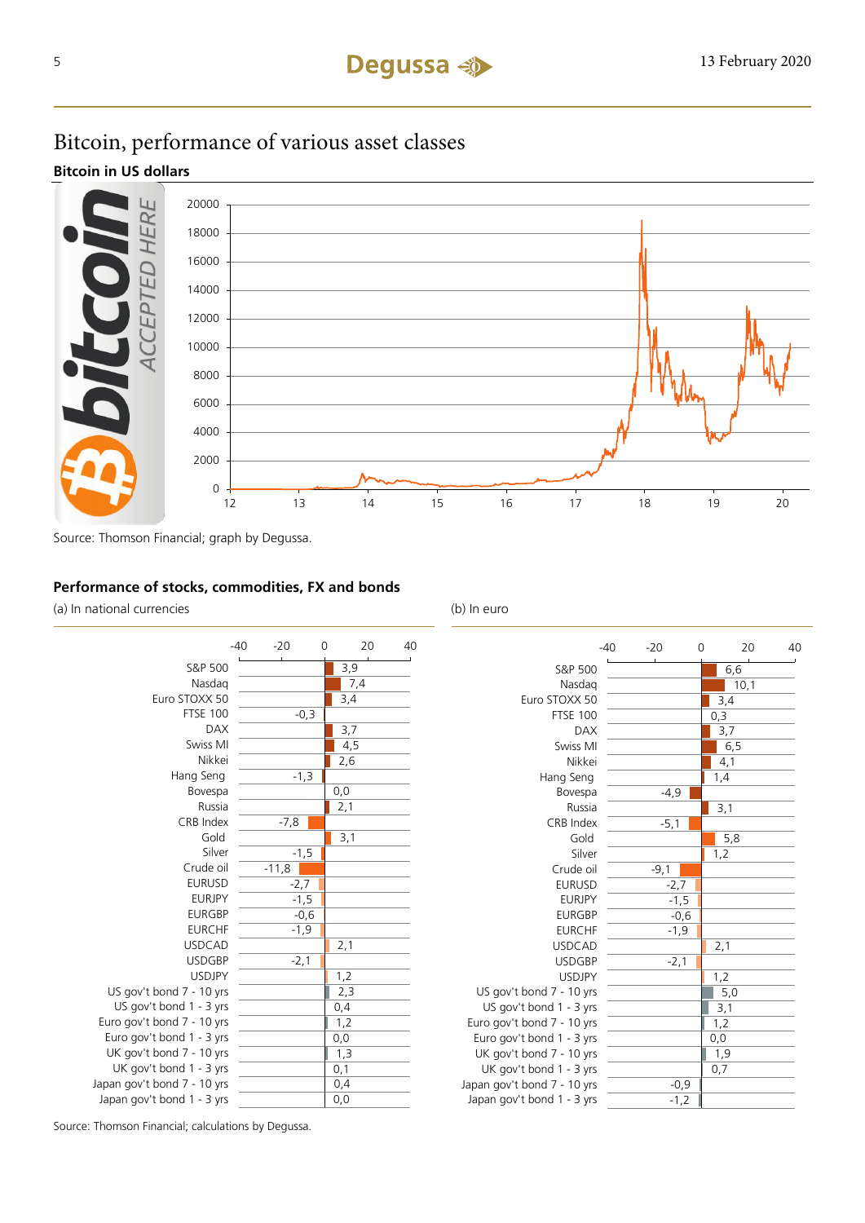## Bitcoin, performance of various asset classes

**Bitcoin in US dollars**



Source: Thomson Financial; graph by Degussa.

## **Performance of stocks, commodities, FX and bonds**

(a) In national currencies (b) In euro



|                             | -40 | $-20$  | 0 | 20   | 40 |
|-----------------------------|-----|--------|---|------|----|
| S&P 500                     |     |        |   | 6,6  |    |
| Nasdag                      |     |        |   | 10,1 |    |
| Euro STOXX 50               |     |        |   | 3,4  |    |
| <b>FTSE 100</b>             |     |        |   | 0,3  |    |
| <b>DAX</b>                  |     |        |   | 3,7  |    |
| Swiss MI                    |     |        |   | 6, 5 |    |
| Nikkei                      |     |        |   | 4,1  |    |
| Hang Seng                   |     |        |   | 1,4  |    |
| Bovespa                     |     | $-4,9$ |   |      |    |
| Russia                      |     |        |   | 3,1  |    |
| CRB Index                   |     | $-5,1$ |   |      |    |
| Gold                        |     |        |   | 5,8  |    |
| Silver                      |     |        |   | 1,2  |    |
| Crude oil                   |     | $-9,1$ |   |      |    |
| <b>EURUSD</b>               |     | $-2,7$ |   |      |    |
| <b>EURJPY</b>               |     | $-1,5$ |   |      |    |
| <b>EURGBP</b>               |     | $-0,6$ |   |      |    |
| <b>EURCHF</b>               |     | $-1,9$ |   |      |    |
| <b>USDCAD</b>               |     |        |   | 2,1  |    |
| <b>USDGBP</b>               |     | $-2,1$ |   |      |    |
| <b>USDJPY</b>               |     |        |   | 1,2  |    |
| US gov't bond 7 - 10 yrs    |     |        |   | 5,0  |    |
| US gov't bond 1 - 3 yrs     |     |        |   | 3,1  |    |
| Euro gov't bond 7 - 10 yrs  |     |        |   | 1,2  |    |
| Euro gov't bond 1 - 3 yrs   |     |        |   | 0,0  |    |
| UK gov't bond 7 - 10 yrs    |     |        |   | 1,9  |    |
| UK gov't bond 1 - 3 yrs     |     |        |   | 0,7  |    |
| Japan gov't bond 7 - 10 yrs |     | $-0,9$ |   |      |    |
| Japan gov't bond 1 - 3 yrs  |     | $-1,2$ |   |      |    |

Source: Thomson Financial; calculations by Degussa.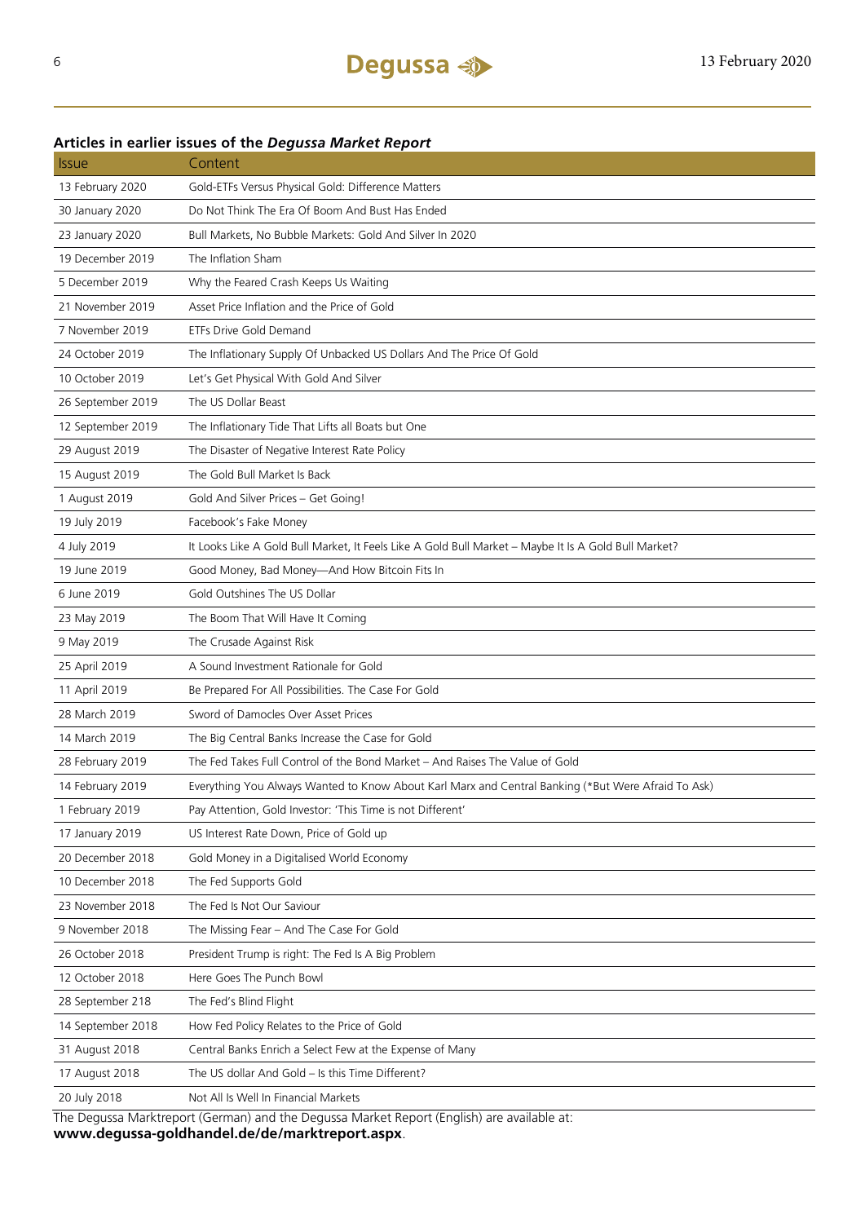## Issue Content 13 February 2020 Gold-ETFs Versus Physical Gold: Difference Matters 30 January 2020 Do Not Think The Era Of Boom And Bust Has Ended 23 January 2020 Bull Markets, No Bubble Markets: Gold And Silver In 2020 19 December 2019 The Inflation Sham 5 December 2019 Why the Feared Crash Keeps Us Waiting 21 November 2019 Asset Price Inflation and the Price of Gold 7 November 2019 ETFs Drive Gold Demand 24 October 2019 The Inflationary Supply Of Unbacked US Dollars And The Price Of Gold 10 October 2019 Let's Get Physical With Gold And Silver 26 September 2019 The US Dollar Beast 12 September 2019 The Inflationary Tide That Lifts all Boats but One 29 August 2019 The Disaster of Negative Interest Rate Policy 15 August 2019 The Gold Bull Market Is Back 1 August 2019 Gold And Silver Prices – Get Going! 19 July 2019 Facebook's Fake Money 4 July 2019 It Looks Like A Gold Bull Market, It Feels Like A Gold Bull Market – Maybe It Is A Gold Bull Market? 19 June 2019 Good Money, Bad Money—And How Bitcoin Fits In 6 June 2019 Gold Outshines The US Dollar 23 May 2019 The Boom That Will Have It Coming 9 May 2019 The Crusade Against Risk 25 April 2019 A Sound Investment Rationale for Gold 11 April 2019 Be Prepared For All Possibilities. The Case For Gold 28 March 2019 Sword of Damocles Over Asset Prices 14 March 2019 The Big Central Banks Increase the Case for Gold 28 February 2019 The Fed Takes Full Control of the Bond Market – And Raises The Value of Gold 14 February 2019 Everything You Always Wanted to Know About Karl Marx and Central Banking (\*But Were Afraid To Ask) 1 February 2019 Pay Attention, Gold Investor: 'This Time is not Different' 17 January 2019 US Interest Rate Down, Price of Gold up 20 December 2018 Gold Money in a Digitalised World Economy 10 December 2018 The Fed Supports Gold 23 November 2018 The Fed Is Not Our Saviour 9 November 2018 The Missing Fear – And The Case For Gold 26 October 2018 President Trump is right: The Fed Is A Big Problem 12 October 2018 Here Goes The Punch Bowl 28 September 218 The Fed's Blind Flight 14 September 2018 How Fed Policy Relates to the Price of Gold 31 August 2018 Central Banks Enrich a Select Few at the Expense of Many 17 August 2018 The US dollar And Gold – Is this Time Different? 20 July 2018 Not All Is Well In Financial Markets

**Articles in earlier issues of the** *Degussa Market Report*

The Degussa Marktreport (German) and the Degussa Market Report (English) are available at: **www.degussa-goldhandel.de/de/marktreport.aspx**.